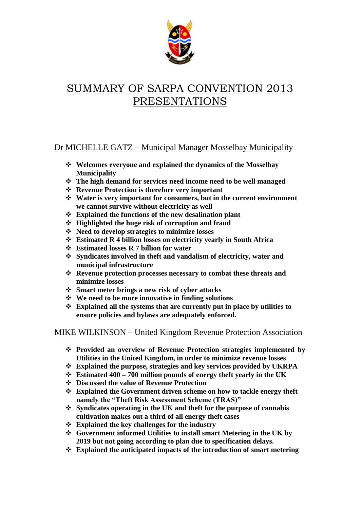

# SUMMARY OF SARPA CONVENTION 2013 PRESENTATIONS

## Dr MICHELLE GATZ – Municipal Manager Mosselbay Municipality

- **Welcomes everyone and explained the dynamics of the Mosselbay Municipality**
- **The high demand for services need income need to be well managed**
- **Revenue Protection is therefore very important**
- **Water is very important for consumers, but in the current environment we cannot survive without electricity as well**
- **Explained the functions of the new desalination plant**
- **Highlighted the huge risk of corruption and fraud**
- **Need to develop strategies to minimize losses**
- **Estimated R 4 billion losses on electricity yearly in South Africa**
- **Estimated losses R 7 billion for water**
- **Syndicates involved in theft and vandalism of electricity, water and municipal infrastructure**
- **Revenue protection processes necessary to combat these threats and minimize losses**
- **Smart meter brings a new risk of cyber attacks**
- **We need to be more innovative in finding solutions**
- **Explained all the systems that are currently put in place by utilities to ensure policies and bylaws are adequately enforced.**

## MIKE WILKINSON – United Kingdom Revenue Protection Association

- **Provided an overview of Revenue Protection strategies implemented by Utilities in the United Kingdom, in order to minimize revenue losses**
- **Explained the purpose, strategies and key services provided by UKRPA**
- **Estimated 400 – 700 million pounds of energy theft yearly in the UK**
- **Discussed the value of Revenue Protection**
- **Explained the Government driven scheme on how to tackle energy theft namely the "Theft Risk Assessment Scheme (TRAS)"**
- **Syndicates operating in the UK and theft for the purpose of cannabis cultivation makes out a third of all energy theft cases**
- **Explained the key challenges for the industry**
- **Government informed Utilities to install smart Metering in the UK by 2019 but not going according to plan due to specification delays.**
- **Explained the anticipated impacts of the introduction of smart metering**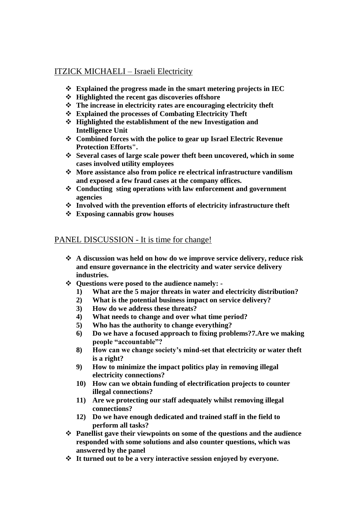## ITZICK MICHAELI – Israeli Electricity

- **Explained the progress made in the smart metering projects in IEC**
- **Highlighted the recent gas discoveries offshore**
- **The increase in electricity rates are encouraging electricity theft**
- **Explained the processes of Combating Electricity Theft**
- **Highlighted the establishment of the new Investigation and Intelligence Unit**
- **Combined forces with the police to gear up Israel Electric Revenue Protection Efforts".**
- **Several cases of large scale power theft been uncovered, which in some cases involved utility employees**
- **More assistance also from police re electrical infrastructure vandilism and exposed a few fraud cases at the company offices.**
- **Conducting sting operations with law enforcement and government agencies**
- **Involved with the prevention efforts of electricity infrastructure theft**
- **Exposing cannabis grow houses**

#### PANEL DISCUSSION - It is time for change!

- **A discussion was held on how do we improve service delivery, reduce risk and ensure governance in the electricity and water service delivery industries.**
- **Questions were posed to the audience namely: -**
	- **1) What are the 5 major threats in water and electricity distribution?**
	- **2) What is the potential business impact on service delivery?**
	- **3) How do we address these threats?**
	- **4) What needs to change and over what time period?**
	- **5) Who has the authority to change everything?**
	- **6) Do we have a focused approach to fixing problems?7.Are we making people "accountable"?**
	- **8) How can we change society's mind-set that electricity or water theft is a right?**
	- **9) How to minimize the impact politics play in removing illegal electricity connections?**
	- **10) How can we obtain funding of electrification projects to counter illegal connections?**
	- **11) Are we protecting our staff adequately whilst removing illegal connections?**
	- **12) Do we have enough dedicated and trained staff in the field to perform all tasks?**
- **Panellist gave their viewpoints on some of the questions and the audience responded with some solutions and also counter questions, which was answered by the panel**
- **It turned out to be a very interactive session enjoyed by everyone.**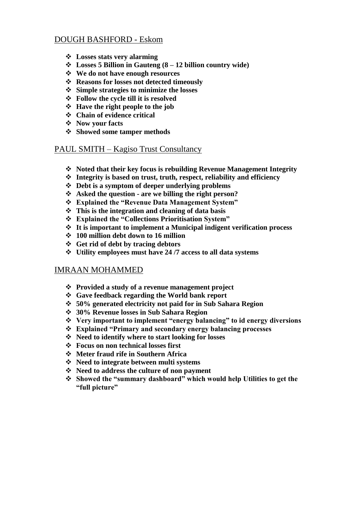## DOUGH BASHFORD - Eskom

- **Losses stats very alarming**
- **Losses 5 Billion in Gauteng (8 – 12 billion country wide)**
- **We do not have enough resources**
- **Reasons for losses not detected timeously**
- **Simple strategies to minimize the losses**
- **Follow the cycle till it is resolved**
- **Have the right people to the job**
- **Chain of evidence critical**
- **Now your facts**
- **Showed some tamper methods**

#### PAUL SMITH – Kagiso Trust Consultancy

- **Noted that their key focus is rebuilding Revenue Management Integrity**
- **Integrity is based on trust, truth, respect, reliability and efficiency**
- **Debt is a symptom of deeper underlying problems**
- **Asked the question - are we billing the right person?**
- **Explained the "Revenue Data Management System"**
- **This is the integration and cleaning of data basis**
- **Explained the "Collections Prioritisation System"**
- **It is important to implement a Municipal indigent verification process**
- **100 million debt down to 16 million**
- **Get rid of debt by tracing debtors**
- **Utility employees must have 24 /7 access to all data systems**

#### IMRAAN MOHAMMED

- **Provided a study of a revenue management project**
- **Gave feedback regarding the World bank report**
- **50% generated electricity not paid for in Sub Sahara Region**
- **30% Revenue losses in Sub Sahara Region**
- **Very important to implement "energy balancing" to id energy diversions**
- **Explained "Primary and secondary energy balancing processes**
- **Need to identify where to start looking for losses**
- **Focus on non technical losses first**
- **Meter fraud rife in Southern Africa**
- **Need to integrate between multi systems**
- **Need to address the culture of non payment**
- **Showed the "summary dashboard" which would help Utilities to get the "full picture"**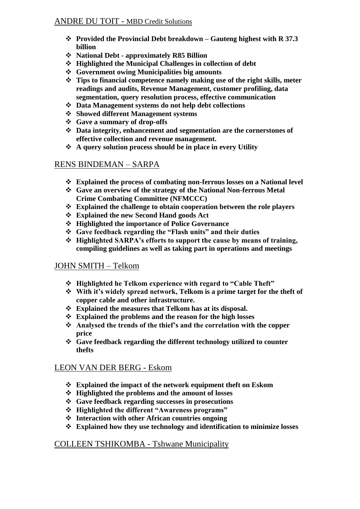#### ANDRE DU TOIT - MBD Credit Solutions

- **Provided the Provincial Debt breakdown – Gauteng highest with R 37.3 billion**
- **National Debt - approximately R85 Billion**
- **Highlighted the Municipal Challenges in collection of debt**
- **Government owing Municipalities big amounts**
- **Tips to financial competence namely making use of the right skills, meter readings and audits, Revenue Management, customer profiling, data segmentation, query resolution process, effective communication**
- **Data Management systems do not help debt collections**
- **Showed different Management systems**
- **Gave a summary of drop-offs**
- **Data integrity, enhancement and segmentation are the cornerstones of effective collection and revenue management.**
- **A query solution process should be in place in every Utility**

## RENS BINDEMAN – SARPA

- **Explained the process of combating non-ferrous losses on a National level**
- **Gave an overview of the strategy of the National Non-ferrous Metal Crime Combating Committee (NFMCCC)**
- **Explained the challenge to obtain cooperation between the role players**
- **Explained the new Second Hand goods Act**
- **Highlighted the importance of Police Governance**
- **Gave feedback regarding the "Flash units" and their duties**
- **Highlighted SARPA's efforts to support the cause by means of training, compiling guidelines as well as taking part in operations and meetings**

## JOHN SMITH – Telkom

- **Highlighted he Telkom experience with regard to "Cable Theft"**
- **With it's widely spread network, Telkom is a prime target for the theft of copper cable and other infrastructure.**
- **Explained the measures that Telkom has at its disposal.**
- **Explained the problems and the reason for the high losses**
- **Analysed the trends of the thief's and the correlation with the copper price**
- **Gave feedback regarding the different technology utilized to counter thefts**

## LEON VAN DER BERG - Eskom

- **Explained the impact of the network equipment theft on Eskom**
- **Highlighted the problems and the amount of losses**
- **Gave feedback regarding successes in prosecutions**
- **Highlighted the different "Awareness programs"**
- **Interaction with other African countries ongoing**
- **Explained how they use technology and identification to minimize losses**

## COLLEEN TSHIKOMBA - Tshwane Municipality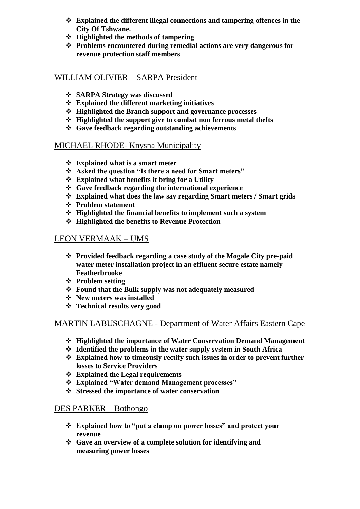- **Explained the different illegal connections and tampering offences in the City Of Tshwane.**
- **Highlighted the methods of tampering**.
- **Problems encountered during remedial actions are very dangerous for revenue protection staff members**

#### WILLIAM OLIVIER – SARPA President

- **SARPA Strategy was discussed**
- **Explained the different marketing initiatives**
- **Highlighted the Branch support and governance processes**
- **Highlighted the support give to combat non ferrous metal thefts**
- **Gave feedback regarding outstanding achievements**

#### MICHAEL RHODE- Knysna Municipality

- **Explained what is a smart meter**
- **Asked the question "Is there a need for Smart meters"**
- **Explained what benefits it bring for a Utility**
- **Gave feedback regarding the international experience**
- **Explained what does the law say regarding Smart meters / Smart grids**
- **Problem statement**
- **Highlighted the financial benefits to implement such a system**
- **Highlighted the benefits to Revenue Protection**

## LEON VERMAAK – UMS

- **Provided feedback regarding a case study of the Mogale City pre-paid water meter installation project in an effluent secure estate namely Featherbrooke**
- **Problem setting**
- **Found that the Bulk supply was not adequately measured**
- **New meters was installed**
- **Technical results very good**

## MARTIN LABUSCHAGNE - Department of Water Affairs Eastern Cape

- **Highlighted the importance of Water Conservation Demand Management**
- **Identified the problems in the water supply system in South Africa**
- **Explained how to timeously rectify such issues in order to prevent further losses to Service Providers**
- **Explained the Legal requirements**
- **Explained "Water demand Management processes"**
- **Stressed the importance of water conservation**

#### DES PARKER – Bothongo

- **Explained how to "put a clamp on power losses" and protect your revenue**
- **Gave an overview of a complete solution for identifying and measuring power losses**